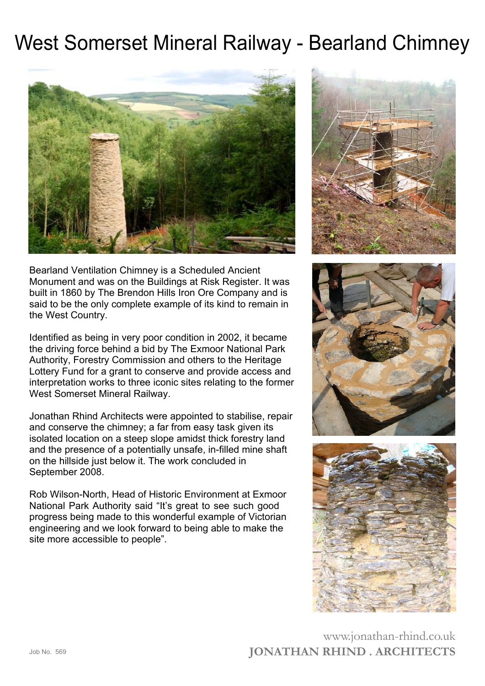## West Somerset Mineral Railway - Bearland Chimney





Bearland Ventilation Chimney is a Scheduled Ancient Monument and was on the Buildings at Risk Register. It was built in 1860 by The Brendon Hills Iron Ore Company and is said to be the only complete example of its kind to remain in the West Country.

Identified as being in very poor condition in 2002, it became the driving force behind a bid by The Exmoor National Park Authority, Forestry Commission and others to the Heritage Lottery Fund for a grant to conserve and provide access and interpretation works to three iconic sites relating to the former West Somerset Mineral Railway.

Jonathan Rhind Architects were appointed to stabilise, repair and conserve the chimney; a far from easy task given its isolated location on a steep slope amidst thick forestry land and the presence of a potentially unsafe, in-filled mine shaft on the hillside just below it. The work concluded in September 2008.

Rob Wilson-North, Head of Historic Environment at Exmoor National Park Authority said "It's great to see such good progress being made to this wonderful example of Victorian engineering and we look forward to being able to make the site more accessible to people".